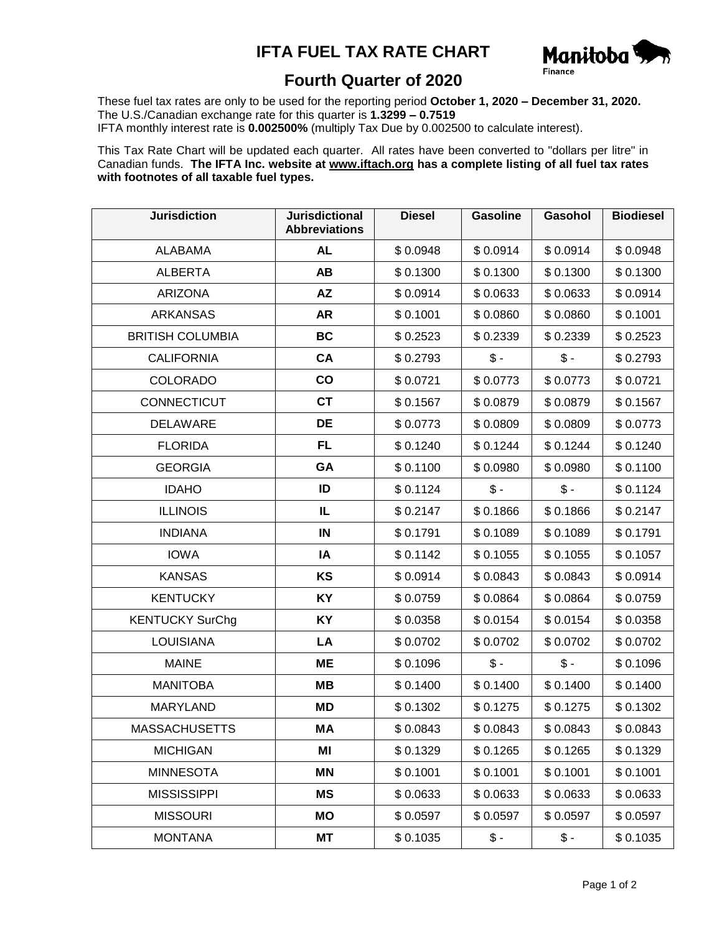## **IFTA FUEL TAX RATE CHART**



## **Fourth Quarter of 2020**

These fuel tax rates are only to be used for the reporting period **October 1, 2020 – December 31, 2020.** The U.S./Canadian exchange rate for this quarter is **1.3299 – 0.7519** IFTA monthly interest rate is **0.002500%** (multiply Tax Due by 0.002500 to calculate interest).

This Tax Rate Chart will be updated each quarter. All rates have been converted to "dollars per litre" in Canadian funds. **The IFTA Inc. website at www.iftach.org has a complete listing of all fuel tax rates with footnotes of all taxable fuel types.**

| <b>Jurisdiction</b>     | <b>Jurisdictional</b><br><b>Abbreviations</b> | <b>Diesel</b> | <b>Gasoline</b> | Gasohol       | <b>Biodiesel</b> |
|-------------------------|-----------------------------------------------|---------------|-----------------|---------------|------------------|
| <b>ALABAMA</b>          | <b>AL</b>                                     | \$0.0948      | \$0.0914        | \$0.0914      | \$0.0948         |
| <b>ALBERTA</b>          | AB                                            | \$0.1300      | \$0.1300        | \$0.1300      | \$0.1300         |
| <b>ARIZONA</b>          | AZ                                            | \$0.0914      | \$0.0633        | \$0.0633      | \$0.0914         |
| <b>ARKANSAS</b>         | <b>AR</b>                                     | \$0.1001      | \$0.0860        | \$0.0860      | \$0.1001         |
| <b>BRITISH COLUMBIA</b> | <b>BC</b>                                     | \$0.2523      | \$0.2339        | \$0.2339      | \$0.2523         |
| <b>CALIFORNIA</b>       | CA                                            | \$0.2793      | $\mathsf{\$}$ - | $\frac{1}{2}$ | \$0.2793         |
| <b>COLORADO</b>         | $\mathbf{co}$                                 | \$0.0721      | \$0.0773        | \$0.0773      | \$0.0721         |
| <b>CONNECTICUT</b>      | <b>CT</b>                                     | \$0.1567      | \$0.0879        | \$0.0879      | \$0.1567         |
| <b>DELAWARE</b>         | DE                                            | \$0.0773      | \$0.0809        | \$0.0809      | \$0.0773         |
| <b>FLORIDA</b>          | FL                                            | \$0.1240      | \$0.1244        | \$0.1244      | \$0.1240         |
| <b>GEORGIA</b>          | GA                                            | \$0.1100      | \$0.0980        | \$0.0980      | \$0.1100         |
| <b>IDAHO</b>            | ID                                            | \$0.1124      | $\mathsf{\$}$ - | $$ -$         | \$0.1124         |
| <b>ILLINOIS</b>         | IL                                            | \$0.2147      | \$0.1866        | \$0.1866      | \$0.2147         |
| <b>INDIANA</b>          | IN                                            | \$0.1791      | \$0.1089        | \$0.1089      | \$0.1791         |
| <b>IOWA</b>             | IA                                            | \$0.1142      | \$0.1055        | \$0.1055      | \$0.1057         |
| <b>KANSAS</b>           | KS                                            | \$0.0914      | \$0.0843        | \$0.0843      | \$0.0914         |
| <b>KENTUCKY</b>         | KY                                            | \$0.0759      | \$0.0864        | \$0.0864      | \$0.0759         |
| <b>KENTUCKY SurChg</b>  | KY                                            | \$0.0358      | \$0.0154        | \$0.0154      | \$0.0358         |
| <b>LOUISIANA</b>        | LA                                            | \$0.0702      | \$0.0702        | \$0.0702      | \$0.0702         |
| <b>MAINE</b>            | ME                                            | \$0.1096      | $$ -$           | $$ -$         | \$0.1096         |
| <b>MANITOBA</b>         | MВ                                            | \$0.1400      | \$0.1400        | \$0.1400      | \$0.1400         |
| <b>MARYLAND</b>         | ΜD                                            | \$0.1302      | \$0.1275        | \$0.1275      | \$0.1302         |
| <b>MASSACHUSETTS</b>    | MA                                            | \$0.0843      | \$0.0843        | \$0.0843      | \$0.0843         |
| <b>MICHIGAN</b>         | ΜI                                            | \$0.1329      | \$0.1265        | \$0.1265      | \$0.1329         |
| <b>MINNESOTA</b>        | ΜN                                            | \$0.1001      | \$0.1001        | \$0.1001      | \$0.1001         |
| <b>MISSISSIPPI</b>      | <b>MS</b>                                     | \$0.0633      | \$0.0633        | \$0.0633      | \$0.0633         |
| <b>MISSOURI</b>         | MO                                            | \$0.0597      | \$0.0597        | \$0.0597      | \$0.0597         |
| <b>MONTANA</b>          | МT                                            | \$0.1035      | $$ -$           | $$ -$         | \$0.1035         |